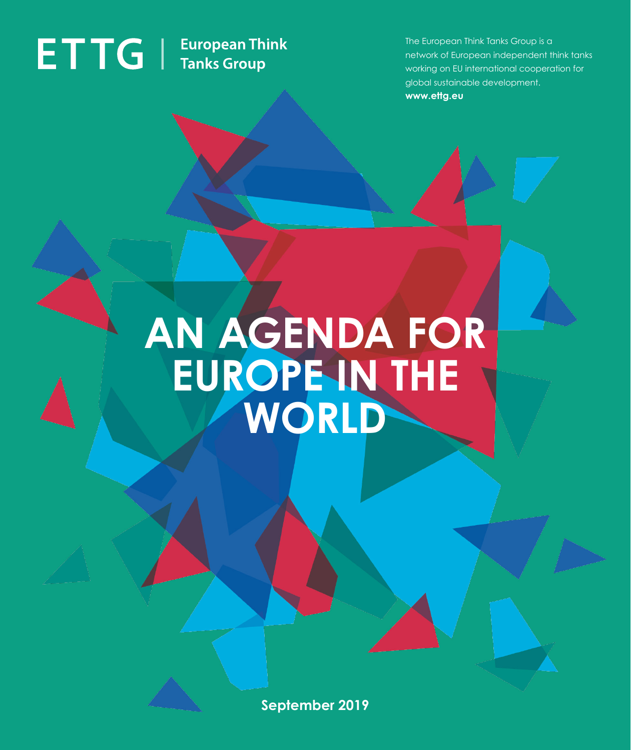# **ETTG** | European Think

The European Think Tanks Group is a network of European independent think tanks working on EU international cooperation for global sustainable development. **www.ettg.eu**

## **AN AGENDA FOR EUROPE IN THE WORLD**

**September 2019**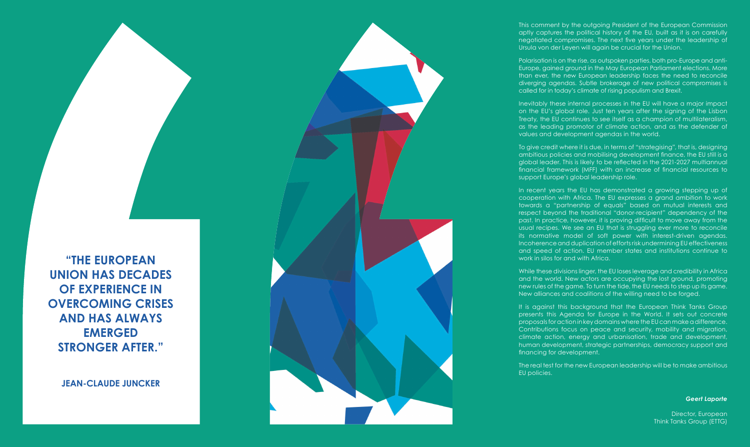This comment by the outgoing President of the European Commission aptly captures the political history of the EU, built as it is on carefully negotiated compromises. The next five years under the leadership of Ursula von der Leyen will again be crucial for the Union.

Polarisation is on the rise, as outspoken parties, both pro-Europe and anti-Europe, gained ground in the May European Parliament elections. More than ever, the new European leadership faces the need to reconcile diverging agendas. Subtle brokerage of new political compromises is called for in today's climate of rising populism and Brexit.

Inevitably these internal processes in the EU will have a major impact on the EU's global role. Just ten years after the signing of the Lisbon Treaty, the EU continues to see itself as a champion of multilateralism, as the leading promotor of climate action, and as the defender of values and development agendas in the world.

To give credit where it is due, in terms of "strategising", that is, designing ambitious policies and mobilising development finance, the EU still is a global leader. This is likely to be reflected in the 2021-2027 multiannual financial framework (MFF) with an increase of financial resources to support Europe's global leadership role.

In recent years the EU has demonstrated a growing stepping up of cooperation with Africa. The EU expresses a grand ambition to work towards a "partnership of equals" based on mutual interests and respect beyond the traditional "donor-recipient" dependency of the past. In practice, however, it is proving difficult to move away from the usual recipes. We see an EU that is struggling ever more to reconcile its normative model of soft power with interest-driven agendas. Incoherence and duplication of efforts risk undermining EU effectiveness and speed of action. EU member states and institutions continue to work in silos for and with Africa.

While these divisions linger, the EU loses leverage and credibility in Africa and the world. New actors are occupying the lost ground, promoting new rules of the game. To turn the tide, the EU needs to step up its game. New alliances and coalitions of the willing need to be forged.

It is against this background that the European Think Tanks Group presents this Agenda for Europe in the World. It sets out concrete proposals for action in key domains where the EU can make a difference. Contributions focus on peace and security, mobility and migration, climate action, energy and urbanisation, trade and development, human development, strategic partnerships, democracy support and financing for development.

The real test for the new European leadership will be to make ambitious

EU policies.

*Geert Laporte*

Director, European Think Tanks Group (ETTG)

**"THE EUROPEAN UNION HAS DECADES OF EXPERIENCE IN OVERCOMING CRISES AND HAS ALWAYS EMERGED STRONGER AFTER."**

**JEAN-CLAUDE JUNCKER**

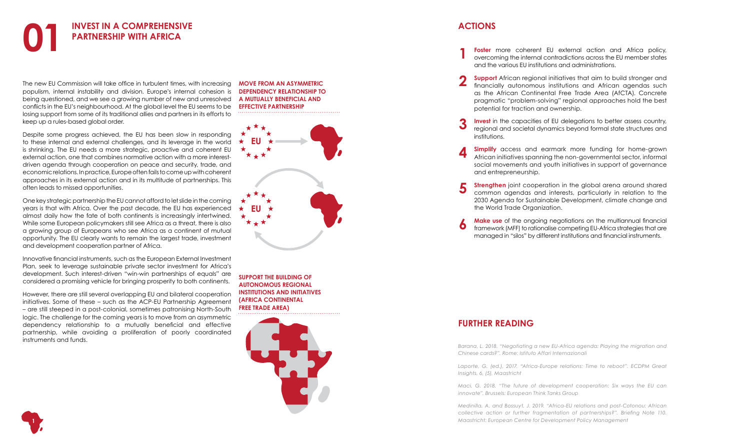The new EU Commission will take office in turbulent times, with increasing populism, internal instability and division. Europe's internal cohesion is being questioned, and we see a growing number of new and unresolved conflicts in the EU's neighbourhood. At the global level the EU seems to be losing support from some of its traditional allies and partners in its efforts to keep up a rules-based global order.

Despite some progress achieved, the EU has been slow in responding to these internal and external challenges, and its leverage in the world is shrinking. The EU needs a more strategic, proactive and coherent EU external action, one that combines normative action with a more interestdriven agenda through cooperation on peace and security, trade, and economic relations. In practice, Europe often fails to come up with coherent approaches in its external action and in its multitude of partnerships. This often leads to missed opportunities.



**Foster** more coherent EU external action and Africa policy, overcoming the internal contradictions across the EU member states

One key strategic partnership the EU cannot afford to let slide in the coming years is that with Africa. Over the past decade, the EU has experienced almost daily how the fate of both continents is increasingly intertwined. While some European policymakers still see Africa as a threat, there is also a growing group of Europeans who see Africa as a continent of mutual opportunity. The EU clearly wants to remain the largest trade, investment and development cooperation partner of Africa.

**Support** African regional initiatives that aim to build stronger and financially autonomous institutions and African agendas such as the African Continental Free Trade Area (AfCTA). Concrete pragmatic "problem-solving" regional approaches hold the best

**Simplify** access and earmark more funding for home-grown African initiatives spanning the non-governmental sector, informal social movements and youth initiatives in support of governance

Innovative financial instruments, such as the European External Investment Plan, seek to leverage sustainable private sector investment for Africa's development. Such interest-driven "win-win partnerships of equals" are considered a promising vehicle for bringing prosperity to both continents.

**Strengthen** joint cooperation in the global arena around shared common agendas and interests, particularly in relation to the 2030 Agenda for Sustainable Development, climate change and

**Make use** of the ongoing negotiations on the multiannual financial framework (MFF) to rationalise competing EU-Africa strategies that are managed in "silos" by different institutions and financial instruments.

However, there are still several overlapping EU and bilateral cooperation initiatives. Some of these – such as the ACP-EU Partnership Agreement – are still steeped in a post-colonial, sometimes patronising North-South logic. The challenge for the coming years is to move from an asymmetric dependency relationship to a mutually beneficial and effective partnership, while avoiding a proliferation of poorly coordinated instruments and funds.

regional and societal dynamics beyond formal state structures and

- and the various EU institutions and administrations.
- potential for traction and ownership.
- **Invest** in the capacities of EU delegations to better assess country, institutions.
- and entrepreneurship.
- the World Trade Organization. **123456**
- 

### **ACTIONS**

### **FURTHER READING**

*[Barana, L. 2018. "Negotiating a new EU-Africa agenda: Playing the migration and](https://www.iai.it/en/pubblicazioni/negotiating-new-eu-africa-agenda-playing-migration-and-chinese-cards  ) [Chinese cards?". Rome: Istituto Affari Internazionali](https://www.iai.it/en/pubblicazioni/negotiating-new-eu-africa-agenda-playing-migration-and-chinese-cards  )*

*Laporte, G. (ed.), [2017. "Africa-Europe relations: Time to reboot". ECDPM Great](https://ecdpm.org/great-insights/eu-africa-relations-time-to-reboot/ ) [Insights, 6, \(5\), M](https://ecdpm.org/great-insights/eu-africa-relations-time-to-reboot/ )aastricht*

*[Maci, G. 2018. "The future of development cooperation: Six ways the EU can](https://ettg.eu/2018/11/19/the-future-of-development-cooperation-six-ways-the-eu-can-innovate/  ) [innovate". Brussels: European Think Tanks Group](https://ettg.eu/2018/11/19/the-future-of-development-cooperation-six-ways-the-eu-can-innovate/  )*

*[Medinilla, A. and Bossuyt, J. 2019. "Africa-EU relations and post-Cotonou: African](https://ecdpm.org/publications/africa-eu-relations-post-cotonou-african-collective-action-further-fragmentation-partnerships/) [collective action or further fragmentation of partnerships?". Briefing Note 110.](https://ecdpm.org/publications/africa-eu-relations-post-cotonou-african-collective-action-further-fragmentation-partnerships/) [Maastricht: European Centre for Development Policy Management](https://ecdpm.org/publications/africa-eu-relations-post-cotonou-african-collective-action-further-fragmentation-partnerships/)*

**MOVE FROM AN ASYMMETRIC DEPENDENCY RELATIONSHIP TO A MUTUALLY BENEFICIAL AND EFFECTIVE PARTNERSHIP**

**SUPPORT THE BUILDING OF AUTONOMOUS REGIONAL INSTITUTIONS AND INITIATIVES (AFRICA CONTINENTAL FREE TRADE AREA)**



**1**

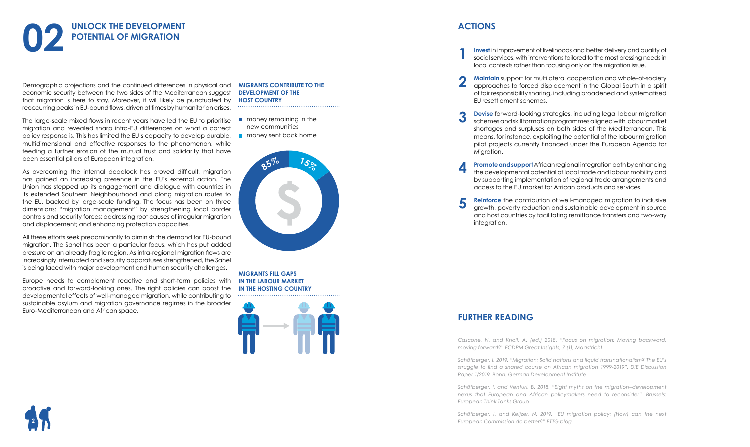Demographic projections and the continued differences in physical and economic security between the two sides of the Mediterranean suggest that migration is here to stay. Moreover, it will likely be punctuated by reoccurring peaks in EU-bound flows, driven at times by humanitarian crises.

The large-scale mixed flows in recent years have led the EU to prioritise migration and revealed sharp intra-EU differences on what a correct policy response is. This has limited the EU's capacity to develop durable, multidimensional and effective responses to the phenomenon, while feeding a further erosion of the mutual trust and solidarity that have been essential pillars of European integration.

As overcoming the internal deadlock has proved difficult, migration has gained an increasing presence in the EU's external action. The Union has stepped up its engagement and dialogue with countries in its extended Southern Neighbourhood and along migration routes to the EU, backed by large-scale funding. The focus has been on three dimensions: "migration management" by strengthening local border controls and security forces; addressing root causes of irregular migration and displacement; and enhancing protection capacities.



All these efforts seek predominantly to diminish the demand for EU-bound migration. The Sahel has been a particular focus, which has put added pressure on an already fragile region. As intra-regional migration flows are increasingly interrupted and security apparatuses strengthened, the Sahel is being faced with major development and human security challenges.

Europe needs to complement reactive and short-term policies with proactive and forward-looking ones. The right policies can boost the developmental effects of well-managed migration, while contributing to sustainable asylum and migration governance regimes in the broader Euro-Mediterranean and African space.

**1**

**Invest** in improvement of livelihoods and better delivery and quality of social services, with interventions tailored to the most pressing needs in

approaches to forced displacement in the Global South in a spirit of fair responsibility sharing, including broadened and systematised

**Devise** forward-looking strategies, including legal labour migration schemes and skill formation programmes aligned with labour market shortages and surpluses on both sides of the Mediterranean. This means, for instance, exploiting the potential of the labour migration pilot projects currently financed under the European Agenda for

- local contexts rather than focusing only on the migration issue.
- **2 Maintain** support for multilateral cooperation and whole-of-society EU resettlement schemes.
- **3** Migration.
- **4** access to the EU market for African products and services.
- **5** integration.

**Promote and support** African regional integration both by enhancing the developmental potential of local trade and labour mobility and by supporting implementation of regional trade arrangements and

**Reinforce** the contribution of well-managed migration to inclusive growth, poverty reduction and sustainable development in source and host countries by facilitating remittance transfers and two-way

### **ACTIONS**

### **FURTHER READING**

*Cascone, N. and Knoll, A. (ed.) 2018[. "Focus on migration: Moving backward,]( https://ecdpm.org/great-insights/migration-moving-backward-moving-forward/ ) [moving forward?" ECDPM Great Insights, 7 \(1\), Maastricht]( https://ecdpm.org/great-insights/migration-moving-backward-moving-forward/ )*

*[Schöfberger, I. 2019. "Migration: Solid nations and liquid transnationalism? The EU's](https://www.die-gdi.de/uploads/media/DP__1.2019.pdf ) [struggle to find a shared course on African migration 1999-2019". DIE Discussion](https://www.die-gdi.de/uploads/media/DP__1.2019.pdf ) [Paper 1/2019. Bonn: German Development Institute](https://www.die-gdi.de/uploads/media/DP__1.2019.pdf )*

*[Schöfberger, I. and Venturi, B. 2018. "Eight myths on the migration–development](https://ettg.eu/2018/07/10/eight-myths-on-the-migration-development-nexus-that-european-and-african-policymakers-need-to-reconsider/  ) [nexus that European and African policymakers need to reconsider". Brussels:](https://ettg.eu/2018/07/10/eight-myths-on-the-migration-development-nexus-that-european-and-african-policymakers-need-to-reconsider/  ) [European Think Tanks Group](https://ettg.eu/2018/07/10/eight-myths-on-the-migration-development-nexus-that-european-and-african-policymakers-need-to-reconsider/  )*

*[Schöfberger, I. and Keijzer, N. 2019. "EU migration policy: \(How\) can the next](https://ettg.eu/2018/12/10/eu-migration-policy-how-can-the-next-european-commission-do-better/   )*  **2** *[European Commission do better?" ETTG blog](https://ettg.eu/2018/12/10/eu-migration-policy-how-can-the-next-european-commission-do-better/   )*



### **MIGRANTS CONTRIBUTE TO THE DEVELOPMENT OF THE HOST COUNTRY**

- **n** money remaining in the new communities
- **n** money sent back home

**MIGRANTS FILL GAPS IN THE LABOUR MARKET IN THE HOSTING COUNTRY**



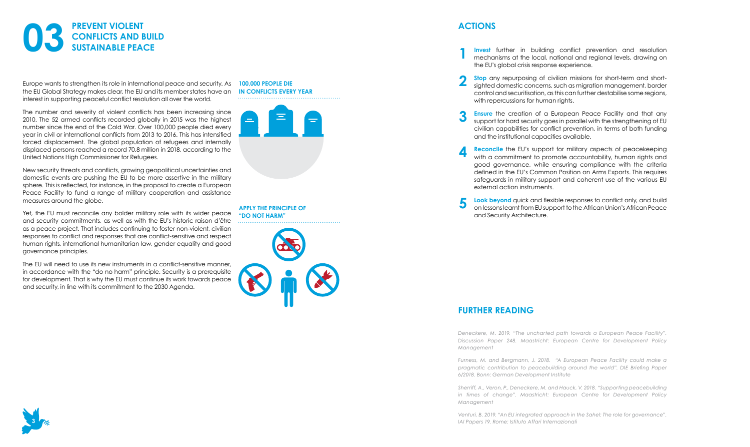Europe wants to strengthen its role in international peace and security. As the EU Global Strategy makes clear, the EU and its member states have an interest in supporting peaceful conflict resolution all over the world.

The number and severity of violent conflicts has been increasing since 2010. The 52 armed conflicts recorded globally in 2015 was the highest number since the end of the Cold War. Over 100,000 people died every year in civil or international conflicts from 2013 to 2016. This has intensified forced displacement. The global population of refugees and internally displaced persons reached a record 70.8 million in 2018, according to the United Nations High Commissioner for Refugees.

New security threats and conflicts, growing geopolitical uncertainties and domestic events are pushing the EU to be more assertive in the military sphere. This is reflected, for instance, in the proposal to create a European Peace Facility to fund a range of military cooperation and assistance measures around the globe.



Yet, the EU must reconcile any bolder military role with its wider peace and security commitments, as well as with the EU's historic raison d'être as a peace project. That includes continuing to foster non-violent, civilian responses to conflict and responses that are conflict-sensitive and respect human rights, international humanitarian law, gender equality and good governance principles.

**Invest** further in building conflict prevention and resolution mechanisms at the local, national and regional levels, drawing on

**Stop** any repurposing of civilian missions for short-term and shortsighted domestic concerns, such as migration management, border control and securitisation, as this can further destabilise some regions,

The EU will need to use its new instruments in a conflict-sensitive manner, in accordance with the "do no harm" principle. Security is a prerequisite for development. That is why the EU must continue its work towards peace and security, in line with its commitment to the 2030 Agenda.

with a commitment to promote accountability, human rights and good governance, while ensuring compliance with the criteria defined in the EU's Common Position on Arms Exports. This requires safeguards in military support and coherent use of the various EU

### **FURTHER READING**

*[Deneckere, M. 2019. "The uncharted path towards a European Peace Facility".](https://www.google.com/url?q=https://ecdpm.org/publications/uncharted-path-towards-european-peace-facility/&source=gmail&ust=1565085559068000&usg=AFQjCNFlPEhFwCv5GGb7lXupmQWmj6-JxA) [Discussion Paper 248. Maastricht: European Centre for Development Policy](https://www.google.com/url?q=https://ecdpm.org/publications/uncharted-path-towards-european-peace-facility/&source=gmail&ust=1565085559068000&usg=AFQjCNFlPEhFwCv5GGb7lXupmQWmj6-JxA) [Management](https://www.google.com/url?q=https://ecdpm.org/publications/uncharted-path-towards-european-peace-facility/&source=gmail&ust=1565085559068000&usg=AFQjCNFlPEhFwCv5GGb7lXupmQWmj6-JxA)*

*[Furness, M. and Bergmann, J. 2018. "A European Peace Facility could make a](https://www.die-gdi.de/briefing-paper/article/a-european-peace-facility-could-make-a-pragmatic-contribution-to-peacebuilding-around-the-world/) [pragmatic contribution to peacebuilding around the world". DIE Briefing Paper](https://www.die-gdi.de/briefing-paper/article/a-european-peace-facility-could-make-a-pragmatic-contribution-to-peacebuilding-around-the-world/) [6/2018. Bonn: German Development Institute](https://www.die-gdi.de/briefing-paper/article/a-european-peace-facility-could-make-a-pragmatic-contribution-to-peacebuilding-around-the-world/)*

*[Sherriff, A., Veron, P., Deneckere, M. and Hauck, V. 2018. "Supporting peacebuilding](https://www.google.com/url?q=https://ecdpm.org/publications/supporting-peacebuilding-change-europe/&source=gmail&ust=1565085559068000&usg=AFQjCNHRgwpkYJmW8dd85lfSw-4NipyqSQ) [in times of change". Maastricht: European Centre for Development Policy](https://www.google.com/url?q=https://ecdpm.org/publications/supporting-peacebuilding-change-europe/&source=gmail&ust=1565085559068000&usg=AFQjCNHRgwpkYJmW8dd85lfSw-4NipyqSQ) [Management](https://www.google.com/url?q=https://ecdpm.org/publications/supporting-peacebuilding-change-europe/&source=gmail&ust=1565085559068000&usg=AFQjCNHRgwpkYJmW8dd85lfSw-4NipyqSQ)*

*[Venturi, B. 2019. "An EU integrated approach in the Sahel: The role for governance".](http://www.tepsa.eu/the-political-rollercoaster-of-italian-french-relations-jean-pierre-darnis-iai-italy-2-2/) [IAI Papers 19. Rome: Istituto Affari Internazionali](http://www.tepsa.eu/the-political-rollercoaster-of-italian-french-relations-jean-pierre-darnis-iai-italy-2-2/)*

#### **100,000 PEOPLE DIE IN CONFLICTS EVERY YEAR**



**APPLY THE PRINCIPLE OF "DO NOT HARM"**





**2**

**Ensure** the creation of a European Peace Facility and that any support for hard security goes in parallel with the strengthening of EU civilian capabilities for conflict prevention, in terms of both funding

- **1** the EU's global crisis response experience.
	- with repercussions for human rights.
- **3** and the institutional capacities available.
- **4 Reconcile** the EU's support for military aspects of peacekeeping external action instruments.
- **5** and Security Architecture.

**Look beyond** quick and flexible responses to conflict only, and build on lessons learnt from EU support to the African Union's African Peace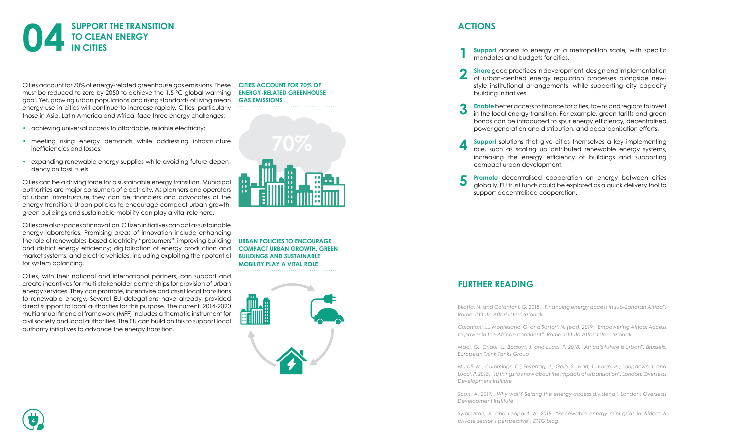Cities account for 70% of energy-related greenhouse gas emissions. These must be reduced to zero by 2050 to achieve the 1.5 °C global warming goal. Yet, growing urban populations and rising standards of living mean energy use in cities will continue to increase rapidly. Cities, particularly those in Asia, Latin America and Africa, face three energy challenges:

- achieving universal access to affordable, reliable electricity;
- meeting rising energy demands while addressing infrastructure inefficiencies and losses;
- expanding renewable energy supplies while avoiding future dependency on fossil fuels.

Cities can be a driving force for a sustainable energy transition. Municipal authorities are major consumers of electricity. As planners and operators of urban infrastructure they can be financiers and advocates of the energy transition. Urban policies to encourage compact urban growth, green buildings and sustainable mobility can play a vital role here.



Cities are also spaces of innovation. Citizen initiatives can act as sustainable energy laboratories. Promising areas of innovation include enhancing the role of renewables-based electricity "prosumers"; improving building and district energy efficiency; digitalisation of energy production and market systems; and electric vehicles, including exploiting their potential for system balancing.

Cities, with their national and international partners, can support and create incentives for multi-stakeholder partnerships for provision of urban energy services. They can promote, incentivise and assist local transitions to renewable energy. Several EU delegations have already provided direct support to local authorities for this purpose. The current, 2014-2020 multiannual financial framework (MFF) includes a thematic instrument for civil society and local authorities. The EU can build on this to support local authority initiatives to advance the energy transition.

**Promote** decentralised cooperation on energy between cities globally. EU trust funds could be explored as a quick delivery tool to

### **FURTHER READING**

*[Bilotta, N. and Colantoni, G. 2018. "Financing energy access in sub-Saharan Africa".](https://www.iai.it/sites/default/files/iaip1822.pdf) [Rome: Istituto Affari Internazionali](https://www.iai.it/sites/default/files/iaip1822.pdf)*

*[Colantoni, L., Montesano, G. and Sartori, N. \(eds\). 2019. "Empowering Africa: Access](https://www.iai.it/en/pubblicazioni/empowering-africa) [to power in the African continent". Rome: Istituto Affari Internazionali](https://www.iai.it/en/pubblicazioni/empowering-africa)*

*[Maci, G., Criqui, L., Bossuyt, J. and Lucci, P. 2018. "Africa's future is urban". Brussels:](https://ettg.eu/2018/07/02/africas-future-is-urban-implications-for-eu-development-policy-and-cooperation/) [European Think Tanks Group](https://ettg.eu/2018/07/02/africas-future-is-urban-implications-for-eu-development-policy-and-cooperation/)* 

*[Murali, M., Cummings, C., Feyertag, J., Gelb, S., Hart, T., Khan, A., Langdown, I. and](https://www.odi.org/publications/11218-10-things-know-about-impacts-urbanisation) [Lucci, P. 2018. "10 things to know about the impacts of urbanisation". London: Overseas](https://www.odi.org/publications/11218-10-things-know-about-impacts-urbanisation) [Development Institute](https://www.odi.org/publications/11218-10-things-know-about-impacts-urbanisation)*

*[Scott, A. 2017. "Why wait? Seizing the energy access dividend". London: Overseas](https://www.odi.org/publications/11022-why-wait-seizing-energy-access-dividend) [Development Institute](https://www.odi.org/publications/11022-why-wait-seizing-energy-access-dividend)*

*[Symington, R. and Leopold, A. 2018. "Renewable energy mini-grids in Africa: A](https://ettg.eu/2018/09/11/renewable-energy-mini-grids-in-africa-a-private-sectors-perspective/ )*  **4** *[private sector's perspective". ETTG blog](https://ettg.eu/2018/09/11/renewable-energy-mini-grids-in-africa-a-private-sectors-perspective/ )*



**CITIES ACCOUNT FOR 70% OF ENERGY-RELATED GREENHOUSE GAS EMISSIONS**



**URBAN POLICIES TO ENCOURAGE COMPACT URBAN GROWTH, GREEN BUILDINGS AND SUSTAINABLE MOBILITY PLAY A VITAL ROLE**



**1**

**Support** access to energy at a metropolitan scale, with specific

**Share** good practices in development, design and implementation of urban-centred energy regulation processes alongside newstyle institutional arrangements, while supporting city capacity

**Enable** better access to finance for cities, towns and regions to invest in the local energy transition. For example, green tariffs and green bonds can be introduced to spur energy efficiency, decentralised power generation and distribution, and decarbonisation efforts.

- mandates and budgets for cities.
- **2** building initiatives.
- **3**
- **4** compact urban development.
- **5** support decentralised cooperation.

**Support** solutions that give cities themselves a key implementing role, such as scaling up distributed renewable energy systems, increasing the energy efficiency of buildings and supporting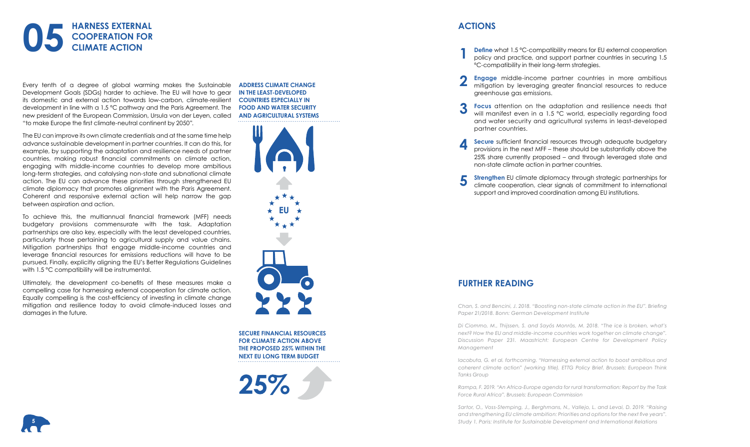Every tenth of a degree of global warming makes the Sustainable Development Goals (SDGs) harder to achieve. The EU will have to gear its domestic and external action towards low-carbon, climate-resilient development in line with a 1.5 ºC pathway and the Paris Agreement. The new president of the European Commission, Ursula von der Leyen, called "to make Europe the first climate-neutral continent by 2050".

To achieve this, the multiannual financial framework (MFF) needs budgetary provisions commensurate with the task. Adaptation partnerships are also key, especially with the least developed countries, particularly those pertaining to agricultural supply and value chains. Mitigation partnerships that engage middle-income countries and leverage financial resources for emissions reductions will have to be pursued. Finally, explicitly aligning the EU's Better Regulations Guidelines with 1.5 °C compatibility will be instrumental.

The EU can improve its own climate credentials and at the same time help advance sustainable development in partner countries. It can do this, for example, by supporting the adaptation and resilience needs of partner countries, making robust financial commitments on climate action, engaging with middle-income countries to develop more ambitious long-term strategies, and catalysing non-state and subnational climate action. The EU can advance these priorities through strengthened EU climate diplomacy that promotes alignment with the Paris Agreement. Coherent and responsive external action will help narrow the gap between aspiration and action.



Ultimately, the development co-benefits of these measures make a compelling case for harnessing external cooperation for climate action. Equally compelling is the cost-efficiency of investing in climate change mitigation and resilience today to avoid climate-induced losses and damages in the future.

**Secure** sufficient financial resources through adequate budgetary provisions in the next MFF – these should be substantially above the 25% share currently proposed – and through leveraged state and

### **FURTHER READING**

*[Chan, S. and Bencini, J. 2018. "Boosting non-state climate action in the EU". Briefing](https://www.die-gdi.de/en/briefing-paper/article/boosting-non-state-climate-action-in-the-european-union/) [Paper 21/2018. Bonn: German Development Institute](https://www.die-gdi.de/en/briefing-paper/article/boosting-non-state-climate-action-in-the-european-union/)*

**Strengthen** EU climate diplomacy through strategic partnerships for climate cooperation, clear signals of commitment to international

*[Di Ciommo, M., Thijssen, S. and Sayós Monràs, M. 2018. "The ice is broken, what's](https://ecdpm.org/publications/ice-broken-what-next-middle-income-countries-eu-climate-change/ ) [next? How the EU and middle-income countries work together on climate change".](https://ecdpm.org/publications/ice-broken-what-next-middle-income-countries-eu-climate-change/ ) [Discussion Paper 231. Maastricht: European Centre for Development Policy](https://ecdpm.org/publications/ice-broken-what-next-middle-income-countries-eu-climate-change/ ) [Management](https://ecdpm.org/publications/ice-broken-what-next-middle-income-countries-eu-climate-change/ )*

*Iacobuta[, G. et al. forthcoming. "Harnessing external action to boost ambitious and](https://ettg.eu/) [coherent climate action" \(working title\). ETTG Policy Brief. Brussels: European Think](https://ettg.eu/) [Tanks Group](https://ettg.eu/)*

*[Rampa, F. 2019. "An Africa-Europe agenda for rural transformation: Report by the Task](https://ec.europa.eu/info/sites/info/files/food-farming-fisheries/farming/documents/report-tfra_mar2019_en.pdf) [Force Rural Africa". Brussels: European Commission](https://ec.europa.eu/info/sites/info/files/food-farming-fisheries/farming/documents/report-tfra_mar2019_en.pdf)*

*[Sartor, O., Voss-Stemping, J., Berghmans, N., Vallejo, L. and Levai, D. 2019. "Raising](https://www.iddri.org/en/publications-and-events/study/raising-and-strengthening-eu-climate-ambition-priorities-and-options) [and strengthening EU climate ambition: Priorities and options for the next five years".](https://www.iddri.org/en/publications-and-events/study/raising-and-strengthening-eu-climate-ambition-priorities-and-options) [Study 1. Paris: Institute for Sustainable Development and International Relations](https://www.iddri.org/en/publications-and-events/study/raising-and-strengthening-eu-climate-ambition-priorities-and-options)*

**ADDRESS CLIMATE CHANGE IN THE LEAST-DEVELOPED COUNTRIES ESPECIALLY IN FOOD AND WATER SECURITY AND AGRICULTURAL SYSTEMS**

**SECURE FINANCIAL RESOURCES FOR CLIMATE ACTION ABOVE THE PROPOSED 25% WITHIN THE NEXT EU LONG TERM BUDGET**

 $25\%$ 





**1**

**2**

**Define** what 1.5 ºC-compatibility means for EU external cooperation policy and practice, and support partner countries in securing 1.5

**Engage** middle-income partner countries in more ambitious mitigation by leveraging greater financial resources to reduce

**Focus** attention on the adaptation and resilience needs that will manifest even in a 1.5 °C world, especially regarding food and water security and agricultural systems in least-developed

- ºC-compatibility in their long-term strategies.
- greenhouse gas emissions.
- **3** partner countries.
- **4** non-state climate action in partner countries.
- **5** support and improved coordination among EU institutions.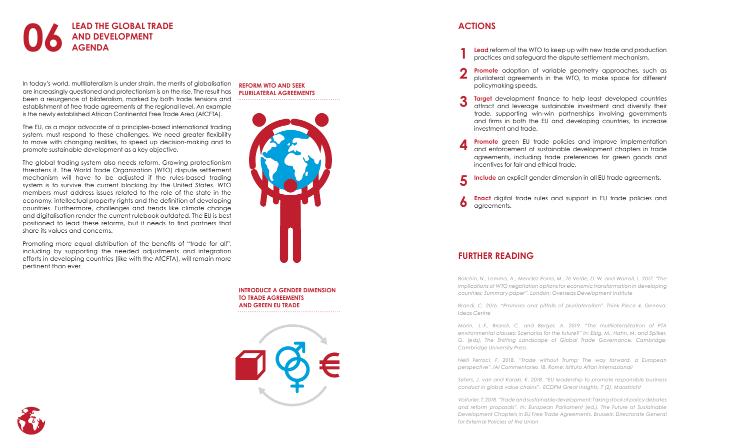In today's world, multilateralism is under strain, the merits of globalisation are increasingly questioned and protectionism is on the rise. The result has been a resurgence of bilateralism, marked by both trade tensions and establishment of free trade agreements at the regional level. An example is the newly established African Continental Free Trade Area (AfCFTA).

The EU, as a major advocate of a principles-based international trading system, must respond to these challenges. We need greater flexibility to move with changing realities, to speed up decision-making and to promote sustainable development as a key objective.

Promoting more equal distribution of the benefits of "trade for all", including by supporting the needed adjustments and integration efforts in developing countries (like with the AfCFTA), will remain more pertinent than ever.



The global trading system also needs reform. Growing protectionism threatens it. The World Trade Organization (WTO) dispute settlement mechanism will have to be adjusted if the rules-based trading system is to survive the current blocking by the United States. WTO members must address issues related to the role of the state in the economy, intellectual property rights and the definition of developing countries. Furthermore, challenges and trends like climate change and digitalisation render the current rulebook outdated. The EU is best positioned to lead these reforms, but it needs to find partners that share its values and concerns.

**5 Include** an explicit gender dimension in all EU trade agreements.





**INTRODUCE A GENDER DIMENSION TO TRADE AGREEMENTS AND GREEN EU TRADE**



# **6**

### **FURTHER READING**

**Promote** green EU trade policies and improve implementation and enforcement of sustainable development chapters in trade agreements, including trade preferences for green goods and

*[Balchin, N., Lemma, A., Mendez-Parra, M., Te Velde, D. W. and Worrall, L. 2017. "The](https://www.odi.org/publications/10994-implications-current-wto-negotiations-economic-transformation-developing-countries) [implications of WTO negotiation options for economic transformation in developing](https://www.odi.org/publications/10994-implications-current-wto-negotiations-economic-transformation-developing-countries) [countries: Summary paper". London: Overseas Development Institute](https://www.odi.org/publications/10994-implications-current-wto-negotiations-economic-transformation-developing-countries)*

*[Brandi, C. 2016. "Promises and pitfalls of plurilateralism". Think Piece 4. Geneva:](https://gwyrrbmh.preview.infomaniak.website/wp-content/uploads/2018/09/IDEAS-CENTRE-WTO-FUTURE-ENGLISH.pdf) [Ideas Centre](https://gwyrrbmh.preview.infomaniak.website/wp-content/uploads/2018/09/IDEAS-CENTRE-WTO-FUTURE-ENGLISH.pdf)*

*[Morin, J.-F., Brandi, C. and Berger, A. 2019. "The multilateralization of PTA](https://www.academia.edu/35633107/Morin_JF_C_Brandi_and_A_Berger._2019._The_Multilateralization_of_PTA_Environmental_Clauses_-_Scenarios_for_the_Future_in_Shifting_Landscape_of_Global_Trade_Governance_edited_by_M._Elsig_M._Hahn_and_G._Spilker_._Cambridge_Cambridge_University_Press_207-231) [environmental clauses: Scenarios for the future?" In: Elsig, M., Hahn, M. and Spilker,](https://www.academia.edu/35633107/Morin_JF_C_Brandi_and_A_Berger._2019._The_Multilateralization_of_PTA_Environmental_Clauses_-_Scenarios_for_the_Future_in_Shifting_Landscape_of_Global_Trade_Governance_edited_by_M._Elsig_M._Hahn_and_G._Spilker_._Cambridge_Cambridge_University_Press_207-231) [G. \(eds\), The Shifting Landscape of Global Trade Governance. Cambridge:](https://www.academia.edu/35633107/Morin_JF_C_Brandi_and_A_Berger._2019._The_Multilateralization_of_PTA_Environmental_Clauses_-_Scenarios_for_the_Future_in_Shifting_Landscape_of_Global_Trade_Governance_edited_by_M._Elsig_M._Hahn_and_G._Spilker_._Cambridge_Cambridge_University_Press_207-231) [Cambridge University Press](https://www.academia.edu/35633107/Morin_JF_C_Brandi_and_A_Berger._2019._The_Multilateralization_of_PTA_Environmental_Clauses_-_Scenarios_for_the_Future_in_Shifting_Landscape_of_Global_Trade_Governance_edited_by_M._Elsig_M._Hahn_and_G._Spilker_._Cambridge_Cambridge_University_Press_207-231)*

*[Nelli Ferroci, F. 2018. "Trade without Trump: The way forward, a European](http://www.iai.it/sites/default/files/iaicom1829.pdf) [perspective". IAI Commentaries 18. Rome: Istituto Affari Internazionali](http://www.iai.it/sites/default/files/iaicom1829.pdf)*

*[Seters, J. van and Karaki, K. 2018. "EU leadership to promote responsible business](https://www.google.com/url?q=https://ecdpm.org/great-insights/leveraging-private-investment-for-sustainable-development/eu-leadership-global-value-chains/&source=gmail&ust=1565085559048000&usg=AFQjCNHgBYfQbeOnS4BiONmrZJrvx-6YyA) [conduct in global value chains". ECDPM Great Insights, 7 \(2\), Maastricht](https://www.google.com/url?q=https://ecdpm.org/great-insights/leveraging-private-investment-for-sustainable-development/eu-leadership-global-value-chains/&source=gmail&ust=1565085559048000&usg=AFQjCNHgBYfQbeOnS4BiONmrZJrvx-6YyA)*

*[Voiturier, T. 2018. "Trade and sustainable development: Taking stock of policy debates](https://www.iddri.org/en/publications-and-events/other-publication/future-sustainable-development-chapters-eu-free-trade  ) [and reform proposals". In: European Parliament \(ed.\), The Future of Sustainable](https://www.iddri.org/en/publications-and-events/other-publication/future-sustainable-development-chapters-eu-free-trade  ) [Development Chapters in EU Free Trade Agreements. Brussels: Directorate General](https://www.iddri.org/en/publications-and-events/other-publication/future-sustainable-development-chapters-eu-free-trade  ) [for External Policies of the Union](https://www.iddri.org/en/publications-and-events/other-publication/future-sustainable-development-chapters-eu-free-trade  )*

**1**

**Lead** reform of the WTO to keep up with new trade and production

plurilateral agreements in the WTO, to make space for different

**Target** development finance to help least developed countries attract and leverage sustainable investment and diversify their trade, supporting win-win partnerships involving governments and firms in both the EU and developing countries, to increase

- practices and safeguard the dispute settlement mechanism.
- **2 Promote** adoption of variable geometry approaches, such as policymaking speeds.
- **3** investment and trade.
- **4** incentives for fair and ethical trade.

**6** agreements.

**Enact** digital trade rules and support in EU trade policies and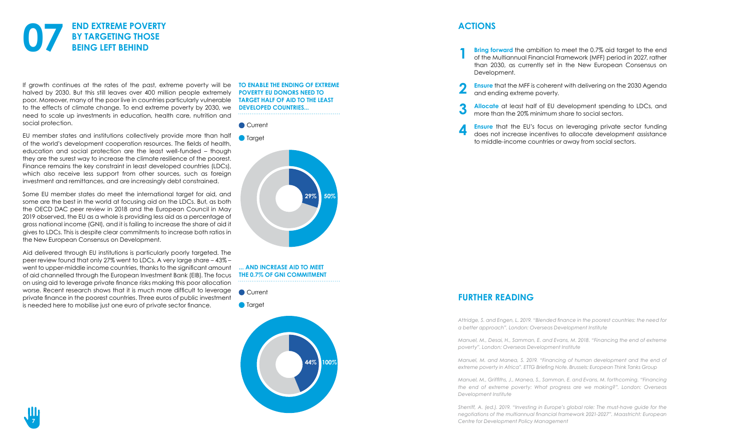If growth continues at the rates of the past, extreme poverty will be halved by 2030. But this still leaves over 400 million people extremely poor. Moreover, many of the poor live in countries particularly vulnerable to the effects of climate change. To end extreme poverty by 2030, we need to scale up investments in education, health care, nutrition and social protection.

EU member states and institutions collectively provide more than half of the world's development cooperation resources. The fields of health, education and social protection are the least well-funded – though they are the surest way to increase the climate resilience of the poorest. Finance remains the key constraint in least developed countries (LDCs), which also receive less support from other sources, such as foreign investment and remittances, and are increasingly debt constrained.

Some EU member states do meet the international target for aid, and some are the best in the world at focusing aid on the LDCs. But, as both the OECD DAC peer review in 2018 and the European Council in May 2019 observed, the EU as a whole is providing less aid as a percentage of gross national income (GNI), and it is failing to increase the share of aid it gives to LDCs. This is despite clear commitments to increase both ratios in the New European Consensus on Development.



Aid delivered through EU institutions is particularly poorly targeted. The peer review found that only 27% went to LDCs. A very large share – 43% – went to upper-middle income countries, thanks to the significant amount of aid channelled through the European Investment Bank (EIB). The focus on using aid to leverage private finance risks making this poor allocation worse. Recent research shows that it is much more difficult to leverage private finance in the poorest countries. Three euros of public investment is needed here to mobilise just one euro of private sector finance.

**TO ENABLE THE ENDING OF EXTREME POVERTY EU DONORS NEED TO TARGET HALF OF AID TO THE LEAST DEVELOPED COUNTRIES...**

**... AND INCREASE AID TO MEET THE 0.7% OF GNI COMMITMENT**



**O** Target







### **FURTHER READING**

*[Attridge, S. and Engen, L. 2019. "Blended finance in the poorest countries: the need for](https://www.odi.org/publications/11303-blended-finance-poorest-countries-need-better-approach) [a better approach". London: Overseas Development Institute](https://www.odi.org/publications/11303-blended-finance-poorest-countries-need-better-approach)*

*[Manuel, M., Desai, H., Samman, E. and Evans, M. 2018. "Financing the end of extreme](https://www.odi.org/publications/11187-financing-end-extreme-poverty) [poverty". London: Overseas Development Institute](https://www.odi.org/publications/11187-financing-end-extreme-poverty)*

*[Manuel, M. and Manea, S. 2019. "Financing of human development and the end of](https://ettg.eu/2019/08/01/financing-human-development-and-the-ending-of-extreme-poverty-in-africa/) [extreme poverty in Africa". ETTG Briefing Note. Brussels: European Think Tanks Group](https://ettg.eu/2019/08/01/financing-human-development-and-the-ending-of-extreme-poverty-in-africa/)* 

*[Manuel, M., Griffiths, J., Manea, S., Samman, E. and Evans, M. forthcoming. "Financing](https://www.odi.org/sites/odi.org.uk/files/resource-documents/12411.pdf) [the end of extreme poverty: What progress are we making?". London: Overseas](https://www.odi.org/sites/odi.org.uk/files/resource-documents/12411.pdf) [Development Institute](https://www.odi.org/sites/odi.org.uk/files/resource-documents/12411.pdf)*

*[Sherriff, A. \(ed.\). 2019. "Investing in Europe's global role: The must-have guide for the](https://ecdpm.org/publications/investing-europe-global-role-must-have-guide-negotiations-multiannual-financial-framework-2021-2027/) [negotiations of the multiannual financial framework 2021-2027". Maastricht: European](https://ecdpm.org/publications/investing-europe-global-role-must-have-guide-negotiations-multiannual-financial-framework-2021-2027/) [Centre for Development Policy Management](https://ecdpm.org/publications/investing-europe-global-role-must-have-guide-negotiations-multiannual-financial-framework-2021-2027/)*

**1**

**Bring forward** the ambition to meet the 0.7% aid target to the end of the Multiannual Financial Framework (MFF) period in 2027, rather than 2030, as currently set in the New European Consensus on

**Allocate** at least half of EU development spending to LDCs, and

- Development.
- **2 Ensure** that the MFF is coherent with delivering on the 2030 Agenda and ending extreme poverty.
- **3** more than the 20% minimum share to social sectors.
- **4** to middle-income countries or away from social sectors.

**Ensure** that the EU's focus on leveraging private sector funding does not increase incentives to allocate development assistance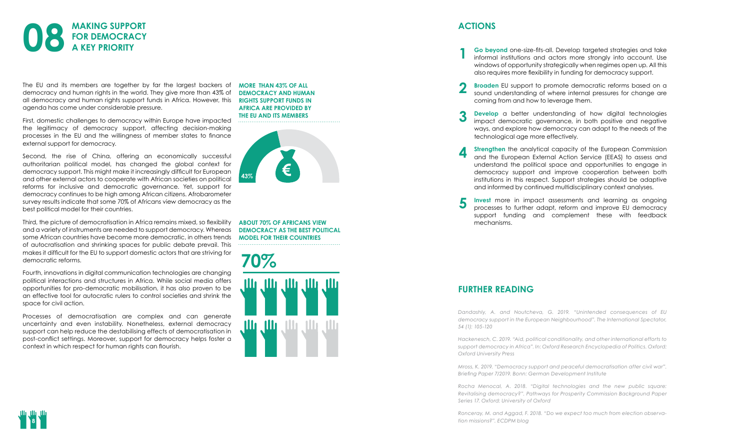The EU and its members are together by far the largest backers of democracy and human rights in the world. They give more than 43% of all democracy and human rights support funds in Africa. However, this **RIGHTS SUPPORT FUNDS IN** agenda has come under considerable pressure.

First, domestic challenges to democracy within Europe have impacted the legitimacy of democracy support, affecting decision-making processes in the EU and the willingness of member states to finance external support for democracy.

Second, the rise of China, offering an economically successful authoritarian political model, has changed the global context for democracy support. This might make it increasingly difficult for European and other external actors to cooperate with African societies on political reforms for inclusive and democratic governance. Yet, support for democracy continues to be high among African citizens. Afrobarometer survey results indicate that some 70% of Africans view democracy as the best political model for their countries.



Third, the picture of democratisation in Africa remains mixed, so flexibility and a variety of instruments are needed to support democracy. Whereas some African countries have become more democratic, in others trends of autocratisation and shrinking spaces for public debate prevail. This makes it difficult for the EU to support domestic actors that are striving for democratic reforms.

Fourth, innovations in digital communication technologies are changing political interactions and structures in Africa. While social media offers opportunities for pro-democratic mobilisation, it has also proven to be an effective tool for autocratic rulers to control societies and shrink the space for civil action.

Processes of democratisation are complex and can generate uncertainty and even instability. Nonetheless, external democracy support can help reduce the destabilising effects of democratisation in post-conflict settings. Moreover, support for democracy helps foster a context in which respect for human rights can flourish.

**Strengthen** the analytical capacity of the European Commission and the European External Action Service (EEAS) to assess and understand the political space and opportunities to engage in democracy support and improve cooperation between both institutions in this respect. Support strategies should be adaptive

**MORE THAN 43% OF ALL DEMOCRACY AND HUMAN AFRICA ARE PROVIDED BY THE EU AND ITS MEMBERS**

**ABOUT 70% OF AFRICANS VIEW DEMOCRACY AS THE BEST POLITICAL MODEL FOR THEIR COUNTRIES**







### **FURTHER READING**

*[Dandashly, A. and Noutcheva, G. 2019. "Unintended consequences of EU](https://www.iai.it/en/pubblicazioni/unintended-consequences-eu-democracy-support-european-neighbourhood) [democracy support in the European Neighbourhood". The International Spectator,](https://www.iai.it/en/pubblicazioni/unintended-consequences-eu-democracy-support-european-neighbourhood) [54 \(1\): 105-120](https://www.iai.it/en/pubblicazioni/unintended-consequences-eu-democracy-support-european-neighbourhood)*

*[Hackenesch, C. 2019. "Aid, political conditionality, and other international efforts to](https://oxfordre.com/politics/view/10.1093/acrefore/9780190228637.001.0001/acrefore-9780190228637-e-1348?rskey=keZ7rh&result=18) [support democracy in Africa". In: Oxford Research Encyclopedia of Politics. Oxford:](https://oxfordre.com/politics/view/10.1093/acrefore/9780190228637.001.0001/acrefore-9780190228637-e-1348?rskey=keZ7rh&result=18) [Oxford University Press](https://oxfordre.com/politics/view/10.1093/acrefore/9780190228637.001.0001/acrefore-9780190228637-e-1348?rskey=keZ7rh&result=18)*

*[Mross, K. 2019. "Democracy support and peaceful democratisation after civil war".](https://www.die-gdi.de/en/briefing-paper/article/democracy-support-and-peaceful-democratisation-after-civil-war/) [Briefing Paper 7/2019. Bonn: German Development Institute](https://www.die-gdi.de/en/briefing-paper/article/democracy-support-and-peaceful-democratisation-after-civil-war/)*

*[Rocha Menocal, A. 2018. "Digital technologies and the new public square:](https://www.odi.org/publications/11386-digital-technologies-and-new-public-square-revitalising-democracy) [Revitalising democracy?". Pathways for Prosperity Commission Background Paper](https://www.odi.org/publications/11386-digital-technologies-and-new-public-square-revitalising-democracy) [Series 17. Oxford: University of Oxford](https://www.odi.org/publications/11386-digital-technologies-and-new-public-square-revitalising-democracy)*

*[Ronceray, M. and Aggad, F. 2018. "Do we expect too much from election observa](https://ecdpm.org/talking-points/do-we-expect-too-much-from-election-observation-missions/)[tion missions?". ECDPM blog](https://ecdpm.org/talking-points/do-we-expect-too-much-from-election-observation-missions/)*

**1**

**Go beyond** one-size-fits-all. Develop targeted strategies and take informal institutions and actors more strongly into account. Use windows of opportunity strategically when regimes open up. All this

**Broaden** EU support to promote democratic reforms based on a sound understanding of where internal pressures for change are

**Develop** a better understanding of how digital technologies impact democratic governance, in both positive and negative ways, and explore how democracy can adapt to the needs of the

- also requires more flexibility in funding for democracy support.
- **2** coming from and how to leverage them.
- **3** technological age more effectively.
- **4** and informed by continued multidisciplinary context analyses.
- **5** mechanisms.

**Invest** more in impact assessments and learning as ongoing processes to further adapt, reform and improve EU democracy support funding and complement these with feedback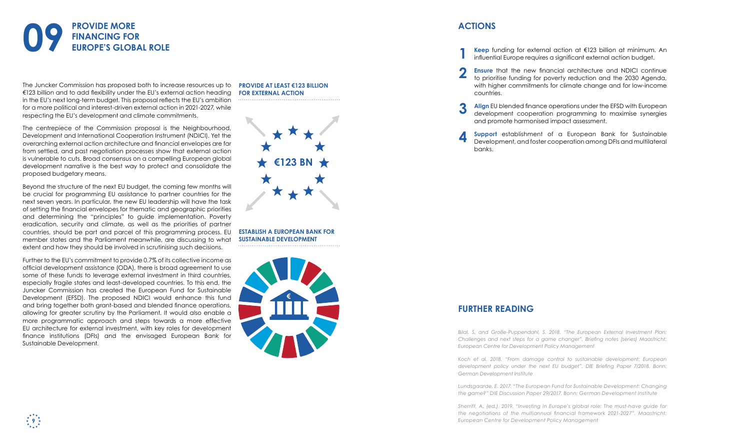The Juncker Commission has proposed both to increase resources up to **PROVIDE AT LEAST €123 BILLION**  €123 billion and to add flexibility under the EU's external action heading in the EU's next long-term budget. This proposal reflects the EU's ambition for a more political and interest-driven external action in 2021-2027, while respecting the EU's development and climate commitments.

The centrepiece of the Commission proposal is the Neighbourhood, Development and International Cooperation Instrument (NDICI). Yet the overarching external action architecture and financial envelopes are far from settled, and past negotiation processes show that external action is vulnerable to cuts. Broad consensus on a compelling European global development narrative is the best way to protect and consolidate the proposed budgetary means.

Beyond the structure of the next EU budget, the coming few months will be crucial for programming EU assistance to partner countries for the next seven years. In particular, the new EU leadership will have the task of setting the financial envelopes for thematic and geographic priorities and determining the "principles" to guide implementation. Poverty eradication, security and climate, as well as the priorities of partner countries, should be part and parcel of this programming process. EU member states and the Parliament meanwhile, are discussing to what extent and how they should be involved in scrutinising such decisions.



Further to the EU's commitment to provide 0.7% of its collective income as official development assistance (ODA), there is broad agreement to use some of these funds to leverage external investment in third countries, especially fragile states and least-developed countries. To this end, the Juncker Commission has created the European Fund for Sustainable Development (EFSD). The proposed NDICI would enhance this fund and bring together both grant-based and blended finance operations, allowing for greater scrutiny by the Parliament. It would also enable a more programmatic approach and steps towards a more effective EU architecture for external investment, with key roles for development finance institutions (DFIs) and the envisaged European Bank for Sustainable Development.

**9**

**FOR EXTERNAL ACTION**



**ESTABLISH A EUROPEAN BANK FOR SUSTAINABLE DEVELOPMENT**

### **FURTHER READING**

*[Bilal, S. and Große-Puppendahl, S. 2018. "The European External Investment Plan:](https://ecdpm.org/publications/european-external-investment-plan-challenges-next-steps-game-changer/) [Challenges and next steps for a game changer". Briefing notes \(series\) Maastricht:](https://ecdpm.org/publications/european-external-investment-plan-challenges-next-steps-game-changer/) [European Centre for Development Policy Management](https://ecdpm.org/publications/european-external-investment-plan-challenges-next-steps-game-changer/)*

*[Koch et al. 2018. "From damage control to sustainable development: European](https://www.die-gdi.de/uploads/media/BP_7.2018.pdf ) [development policy under the next EU budget". DIE Briefing Paper 7/2018. Bonn:](https://www.die-gdi.de/uploads/media/BP_7.2018.pdf ) [German Development Institute](https://www.die-gdi.de/uploads/media/BP_7.2018.pdf )* 

*[Lundsgaarde, E. 2017. "The European Fund for Sustainable Development: Changing](https://www.die-gdi.de/en/discussion-paper/article/the-european-fund-for-sustainable-development-changing-the-game/ ) [the game?" DIE Discussion Paper 29/2017. Bonn: German Development Institute](https://www.die-gdi.de/en/discussion-paper/article/the-european-fund-for-sustainable-development-changing-the-game/ )*

*[Sherriff, A. \(ed.\). 2019. "Investing in Europe's global role: The must-have guide for](https://ecdpm.org/publications/investing-europe-global-role-must-have-guide-negotiations-multiannual-financial-framework-2021-2027/) [the negotiations of the multiannual financial framework 2021-2027". Maastricht:](https://ecdpm.org/publications/investing-europe-global-role-must-have-guide-negotiations-multiannual-financial-framework-2021-2027/) [European Centre for Development Policy Management](https://ecdpm.org/publications/investing-europe-global-role-must-have-guide-negotiations-multiannual-financial-framework-2021-2027/)*

**1**

**2**

**Keep** funding for external action at €123 billion at minimum. An

**Ensure** that the new financial architecture and NDICI continue to prioritise funding for poverty reduction and the 2030 Agenda, with higher commitments for climate change and for low-income

- influential Europe requires a significant external action budget.
- countries.
- **3** and promote harmonised impact assessment.
- **4** banks.

**Align** EU blended finance operations under the EFSD with European development cooperation programming to maximise synergies

**Support** establishment of a European Bank for Sustainable Development, and foster cooperation among DFIs and multilateral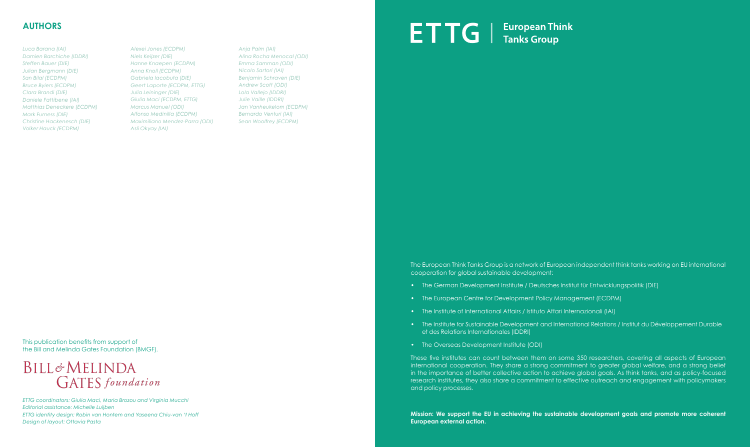### **AUTHORS**

*Luca Barana (IAI) Damien Barchiche (IDDRI) Steffen Bauer (DIE) Julian Bergmann (DIE) San Bilal (ECDPM) Bruce Byiers (ECDPM) Clara Brandi (DIE) Daniele Fattibene (IAI) Matthias Deneckere (ECDPM) Mark Furness (DIE) Christine Hackenesch (DIE) Volker Hauck (ECDPM)*

*Alexei Jones (ECDPM) Niels Keijzer (DIE) Hanne Knaepen (ECDPM) Anna Knoll (ECDPM) Gabriela Iacobuta (DIE) Geert Laporte (ECDPM, ETTG) Julia Leininger (DIE) Giulia Maci (ECDPM, ETTG) Marcus Manuel (ODI) Alfonso Medinilla (ECDPM) Maximiliano Mendez-Parra (ODI) Asli Okyay (IAI)*

*Anja Palm (IAI) Alina Rocha Menocal (ODI) Emma Samman (ODI) Nicolo Sartori (IAI) Benjamin Schraven (DIE) Andrew Scott (ODI) Lola Vallejo (IDDRI) Julie Vaille (IDDRI) Jan Vanheukelom (ECDPM) Bernardo Venturi (IAI) Sean Woolfrey (ECDPM)*

**ETTG** | European Think

The European Think Tanks Group is a network of European independent think tanks working on EU international cooperation for global sustainable development:

- The German Development Institute / Deutsches Institut für Entwicklungspolitik (DIE)
- The European Centre for Development Policy Management (ECDPM)
- The Institute of International Affairs / Istituto Affari Internazionali (IAI)
- The Institute for Sustainable Development and International Relations / Institut du Développement Durable et des Relations Internationales (IDDRI)
- The Overseas Development Institute (ODI)

These five institutes can count between them on some 350 researchers, covering all aspects of European international cooperation. They share a strong commitment to greater global welfare, and a strong belief in the importance of better collective action to achieve global goals. As think tanks, and as policy-focused research institutes, they also share a commitment to effective outreach and engagement with policymakers and policy processes.

**Mission: We support the EU in achieving the sustainable development goals and promote more coherent European external action.**

This publication benefits from support of the Bill and Melinda Gates Foundation (BMGF).

### BILL&MELINDA **GATES** foundation

*ETTG coordinators: Giulia Maci, Maria Brozou and Virginia Mucchi Editorial assistance: Michelle Luijben ETTG identity design: Robin van Hontem and Yaseena Chiu-van 't Hoff Design of layout: Ottavia Pasta*